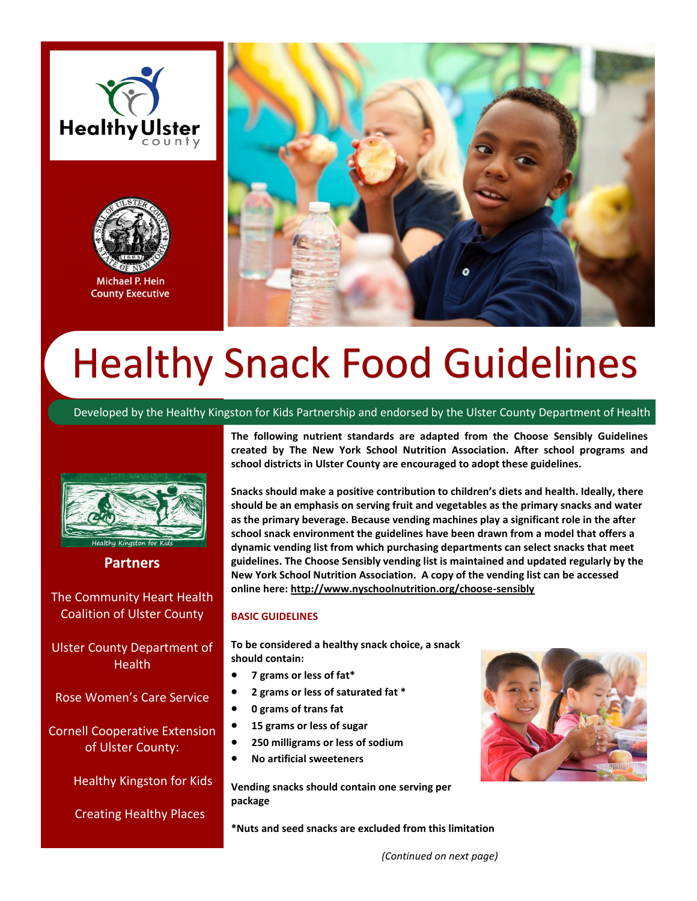



Michael P. Hein **County Executive** 



# Healthy Snack Food Guidelines

Developed by the Healthy Kingston for Kids Partnership and endorsed by the Ulster County Department of Health



**Partners** 

The Community Heart Health Coalition of Ulster County

Ulster County Department of Health

Rose Women's Care Service

Cornell Cooperative Extension of Ulster County:

Healthy Kingston for Kids

Creating Healthy Places

**The following nutrient standards are adapted from the Choose Sensibly Guidelines created by The New York School Nutrition Association. After school programs and school districts in Ulster County are encouraged to adopt these guidelines.**

**Snacks should make a positive contribution to children's diets and health. Ideally, there should be an emphasis on serving fruit and vegetables as the primary snacks and water as the primary beverage. Because vending machines play a significant role in the after school snack environment the guidelines have been drawn from a model that offers a dynamic vending list from which purchasing departments can select snacks that meet guidelines. The Choose Sensibly vending list is maintained and updated regularly by the New York School Nutrition Association. A copy of the vending list can be accessed online here: <http://www.nyschoolnutrition.org/choose-sensibly>**

#### **BASIC GUIDELINES**

**To be considered a healthy snack choice, a snack should contain:**

- **7 grams or less of fat\***
- **2 grams or less of saturated fat \***
- **0 grams of trans fat**
- **15 grams or less of sugar**
- **250 milligrams or less of sodium**
- **No artificial sweeteners**

**Vending snacks should contain one serving per package**

**\*Nuts and seed snacks are excluded from this limitation**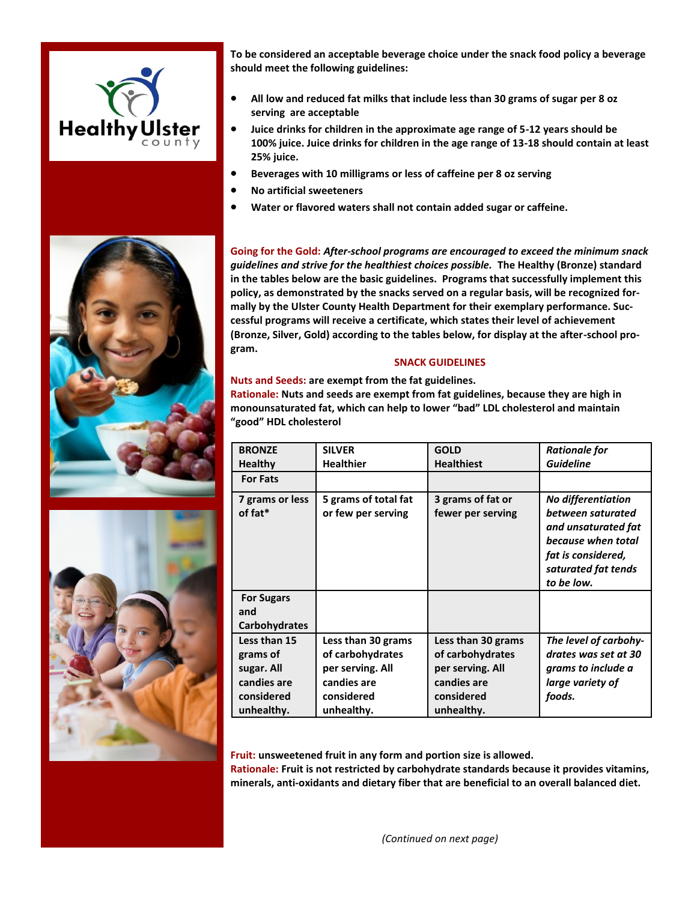

**To be considered an acceptable beverage choice under the snack food policy a beverage should meet the following guidelines:**

- **All low and reduced fat milks that include less than 30 grams of sugar per 8 oz serving are acceptable**
- **Juice drinks for children in the approximate age range of 5-12 years should be 100% juice. Juice drinks for children in the age range of 13-18 should contain at least 25% juice.**
- **Beverages with 10 milligrams or less of caffeine per 8 oz serving**
- **No artificial sweeteners**
- **Water or flavored waters shall not contain added sugar or caffeine.**

**Going for the Gold:** *After-school programs are encouraged to exceed the minimum snack guidelines and strive for the healthiest choices possible.* **The Healthy (Bronze) standard in the tables below are the basic guidelines. Programs that successfully implement this policy, as demonstrated by the snacks served on a regular basis, will be recognized formally by the Ulster County Health Department for their exemplary performance. Successful programs will receive a certificate, which states their level of achievement (Bronze, Silver, Gold) according to the tables below, for display at the after-school program.** 

#### **SNACK GUIDELINES**

**Nuts and Seeds: are exempt from the fat guidelines. Rationale: Nuts and seeds are exempt from fat guidelines, because they are high in monounsaturated fat, which can help to lower "bad" LDL cholesterol and maintain "good" HDL cholesterol**

| <b>BRONZE</b>                                                                     | <b>SILVER</b>                                                                                         | <b>GOLD</b>                                                                                           | <b>Rationale for</b>                                                                                                                                   |
|-----------------------------------------------------------------------------------|-------------------------------------------------------------------------------------------------------|-------------------------------------------------------------------------------------------------------|--------------------------------------------------------------------------------------------------------------------------------------------------------|
| <b>Healthy</b>                                                                    | <b>Healthier</b>                                                                                      | <b>Healthiest</b>                                                                                     | <b>Guideline</b>                                                                                                                                       |
| <b>For Fats</b>                                                                   |                                                                                                       |                                                                                                       |                                                                                                                                                        |
| 7 grams or less<br>of fat*                                                        | 5 grams of total fat<br>or few per serving                                                            | 3 grams of fat or<br>fewer per serving                                                                | <b>No differentiation</b><br>between saturated<br>and unsaturated fat<br>because when total<br>fat is considered,<br>saturated fat tends<br>to be low. |
| <b>For Sugars</b><br>and<br><b>Carbohydrates</b>                                  |                                                                                                       |                                                                                                       |                                                                                                                                                        |
| Less than 15<br>grams of<br>sugar. All<br>candies are<br>considered<br>unhealthy. | Less than 30 grams<br>of carbohydrates<br>per serving. All<br>candies are<br>considered<br>unhealthy. | Less than 30 grams<br>of carbohydrates<br>per serving. All<br>candies are<br>considered<br>unhealthy. | The level of carbohy-<br>drates was set at 30<br>grams to include a<br>large variety of<br>foods.                                                      |

**Fruit: unsweetened fruit in any form and portion size is allowed. Rationale: Fruit is not restricted by carbohydrate standards because it provides vitamins, minerals, anti-oxidants and dietary fiber that are beneficial to an overall balanced diet.**